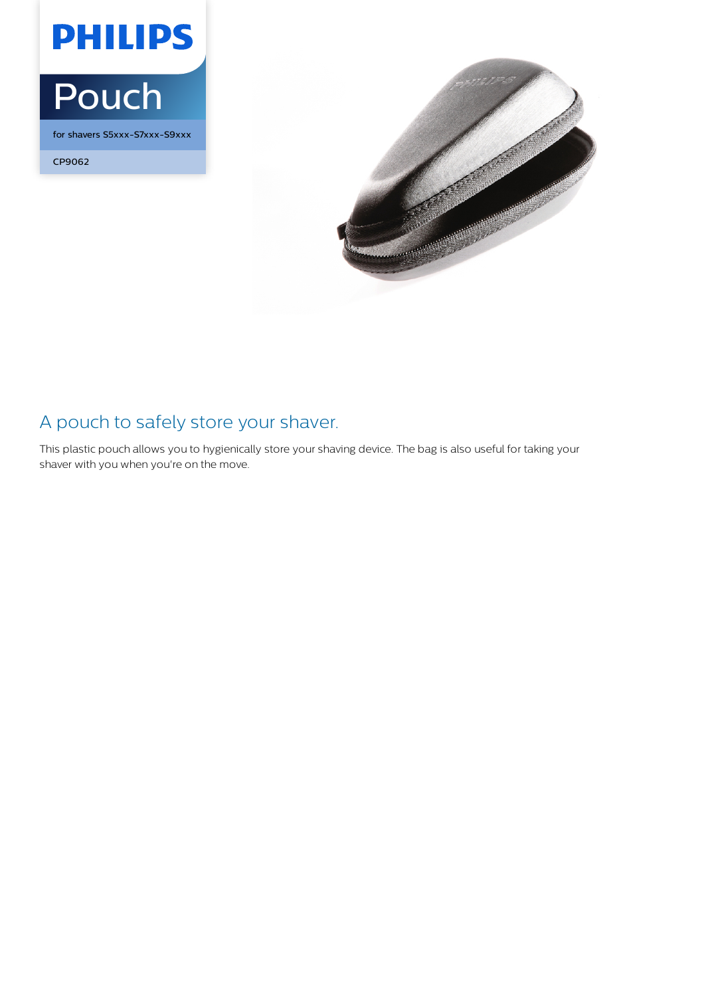

for shavers S5xxx-S7xxx-S9xxx

CP9062



## A pouch to safely store your shaver.

This plastic pouch allows you to hygienically store your shaving device. The bag is also useful for taking your shaver with you when you're on the move.